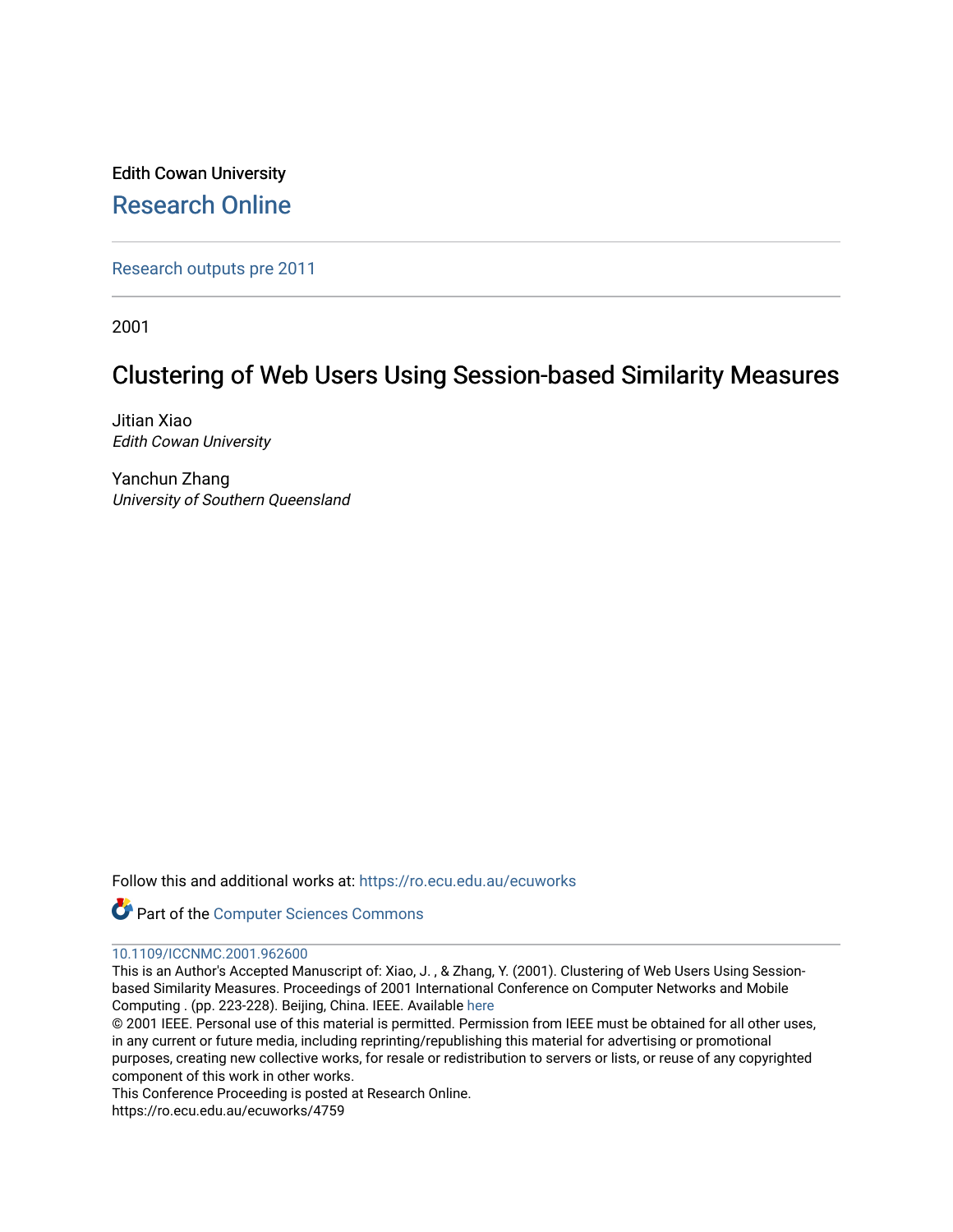Edith Cowan University [Research Online](https://ro.ecu.edu.au/) 

[Research outputs pre 2011](https://ro.ecu.edu.au/ecuworks)

2001

# Clustering of Web Users Using Session-based Similarity Measures

Jitian Xiao Edith Cowan University

Yanchun Zhang University of Southern Queensland

Follow this and additional works at: [https://ro.ecu.edu.au/ecuworks](https://ro.ecu.edu.au/ecuworks?utm_source=ro.ecu.edu.au%2Fecuworks%2F4759&utm_medium=PDF&utm_campaign=PDFCoverPages) 

Part of the [Computer Sciences Commons](http://network.bepress.com/hgg/discipline/142?utm_source=ro.ecu.edu.au%2Fecuworks%2F4759&utm_medium=PDF&utm_campaign=PDFCoverPages)

# [10.1109/ICCNMC.2001.962600](http://dx.doi.org/10.1109/ICCNMC.2001.962600)

This is an Author's Accepted Manuscript of: Xiao, J. , & Zhang, Y. (2001). Clustering of Web Users Using Sessionbased Similarity Measures. Proceedings of 2001 International Conference on Computer Networks and Mobile Computing . (pp. 223-228). Beijing, China. IEEE. Available [here](http://dx.doi.org/10.1109/ICCNMC.2001.962600) 

© 2001 IEEE. Personal use of this material is permitted. Permission from IEEE must be obtained for all other uses, in any current or future media, including reprinting/republishing this material for advertising or promotional purposes, creating new collective works, for resale or redistribution to servers or lists, or reuse of any copyrighted component of this work in other works.

This Conference Proceeding is posted at Research Online.

https://ro.ecu.edu.au/ecuworks/4759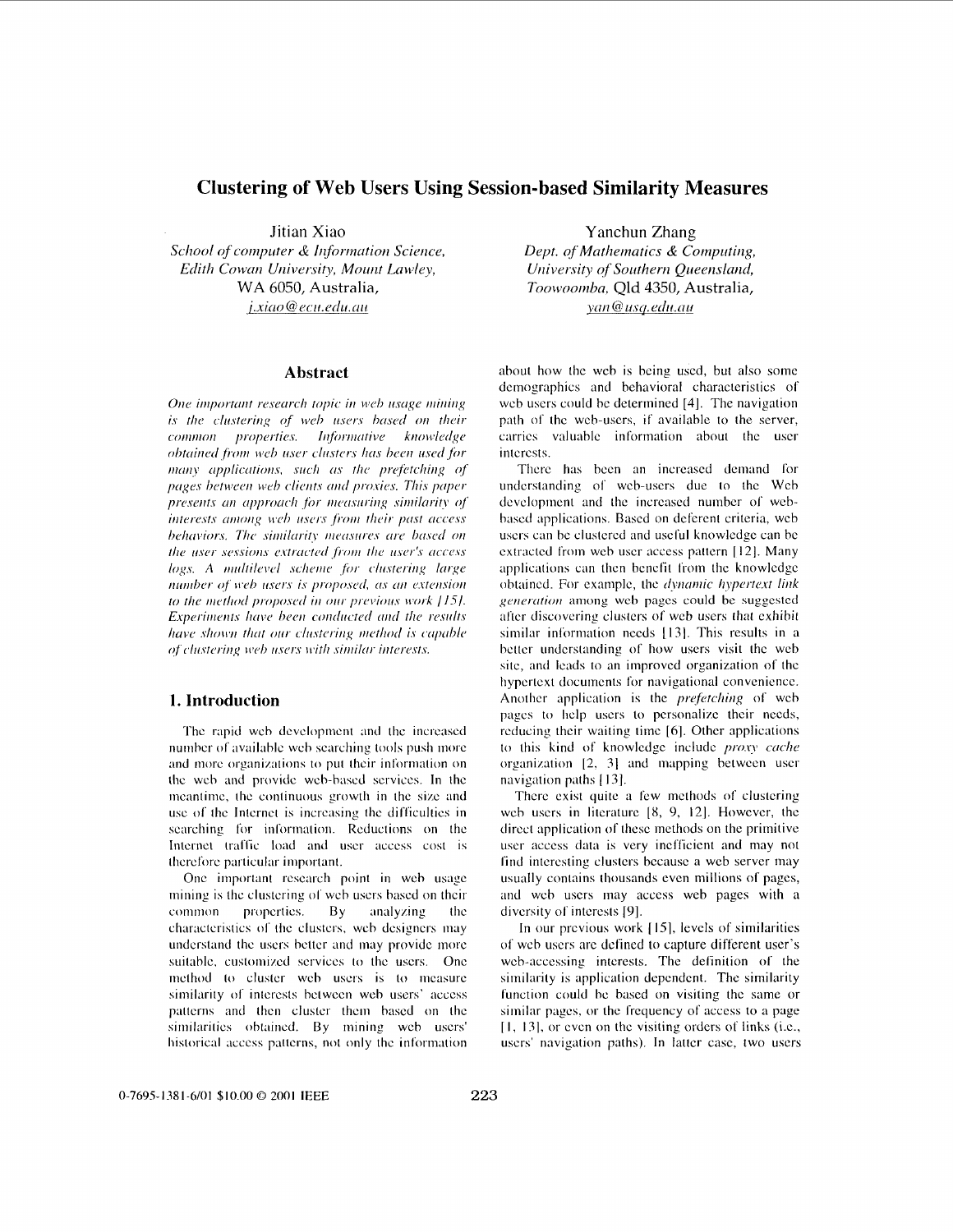# **Clustering of Web Users Using Session-based Similarity Measures**

Jitian Xiao

*School of computer & Information Science, Edith Cowan University, Mount Lawley,* WA 6050, Australia, *j.xiao*@ecu.edu.au

## **Abstract**

One important research topic in web usage mining is the clustering of web users based on their common properties. Informative knowledge obtained from web user clusters has been used for many applications, such as the prefetching of pages between web clients and proxies. This paper presents an approach for measuring similarity of interests among web users from their past access behaviors. The similarity measures are based on the user sessions extracted from the user's access logs. A multilevel scheme for clustering large number of web users is proposed, as an extension to the method proposed in our previous work [15]. Experiments have been conducted and the results have shown that our clustering method is capable of clustering web users with similar interests.

## **1. Introduction**

The rapid web development and the increased number of available web searching tools push more and more organizations to put their information on the wch and provide web-hascd services. In the meantime, the continuous growth in the size and use of the Internet is increasing the difficulties in searching for information. Reductions on the Internet traffic load and user access cost is therefore particular important.

One important rcscarch point in wch usage mining is the clustering of web users based on their common properties. By analyzing the characteristics of the clusters, web designers may understand the users better and may provide more suitable, customized services to the users. One method to cluster web users is to measure similarity of interests between web users' access patterns **and** then cluster **thcni** hascd on the similarities obtained. By mining web users' historical access patterns, not only the information

Yanchun Zhang *Dept. of Mathematics & Computing, University of Southern Queensland, Toowoornha,* Qld 4350, Australia,  $van@usq.edu.au$ 

about how **the** wcb is being used, but also some demographics and behavioral characteristics of web users could be determined [4]. The navigation path of the web-users, if available to the server, carries valuable information about the user interests.

Thcrc **has** bcen an increased demand for understanding of web-users due to the Web devclopmcnt and the increased number of wcbbased applications. Based on deferent criteria, web users can bc clustered and uscful knowlcdgc can be extracted from web user access pattern [12]. Many applications can then benefit from the knowledge obtained. For example, the *dynamic hypertext link generation* among web pages could be suggested after discovering clusters of web users that exhibit similar information needs [13]. This results in a better understanding of how users visit the web site, **and** leuds **to** an improved organization of the hypertext documents for navigational convenience. Another application is the *prefetching* of web pages to help users *to* personalize their needs, reducing their waiting time [6]. Other applications to this kind of knowledge include *proxy cache* organization 12. 31 and mapping between user navigation paths [ 131.

There exist quite a few methods of clustering web users in literature [8, 9, 12]. However, the direct application of these methods on the primitive user access data is very inefficient and may not find interesting clusters because a web server may usually contains thousands even millions of pages, and web users may acccss web pages with *a*  diversity of interests [9].

In our previous work [15], levels of similarities of wcb uscrs arc dcfincd **to** capture different user's web-accessing interests. The definition of the similarity is application dependent. The similarity function could he based on visiting the same **or**  similar pages, or the frequency of access to a page **[I,** 131, or even on the visiting orders of links (i.e.. users' navigation paths). In latter *case,* two users

0-7695-1381-6/01 \$10.00 *0* **2001 IEEE** *223*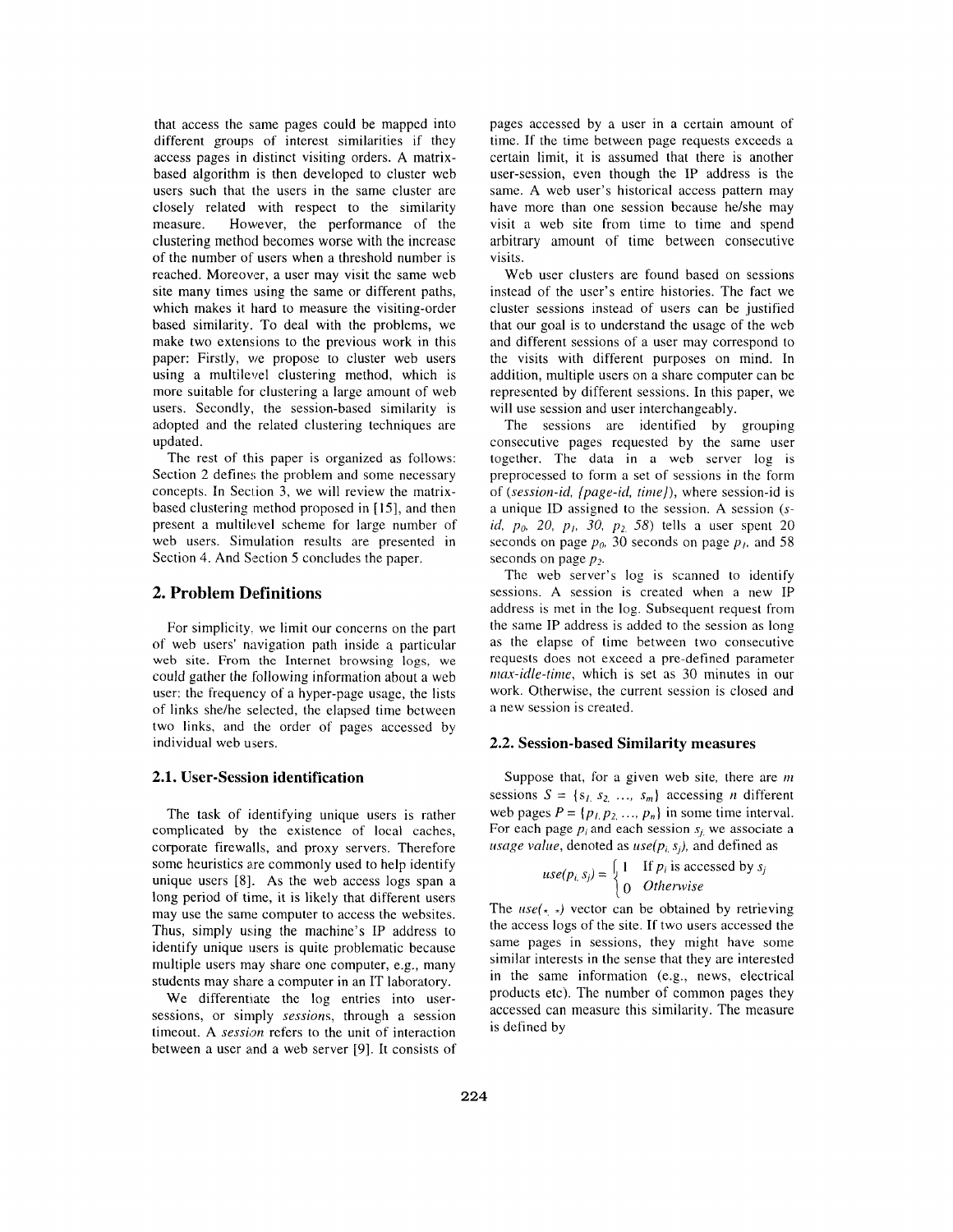that access the same pages could be mapped into different groups of interest similarities if they access pages in distinct visiting orders. **A** matrixbased algorithm is then developed to cluster web users such that the users in the same cluster are closely related with respect to the similarity measure. However, the performance of the clustering method becomes worse with the increase of the number of users when a threshold number is reached. Moreover, a user may visit the same web site many times using the same or different paths, which makes it hard to measure the visiting-order based similarity. To deal with the problems, we make two extensions to the previous work in this paper: Firstly, we propose to cluster web users using a multilevel clustering method, which is more suitable for clustering a large amount of web users. Secondly, the session-based similarity is adopted and the related clustering techniques are updated.

The rest of this paper is organized as follows: Section 2 defines the problem and some necessary concepts. In Section 3, we will review the matrixbased clustering method proposed in [ IS], and then present a multilevel scheme for large number of web users. Simulation results are presented in Section 4. And Section 5 concludes the paper.

## **2. Problem Definitions**

For simplicity. we limit our conccrns on the part of web users' navigation path inside a particular weh site. From the Internet browsing **logs,** we could gather the following information about a web user: the frequency of a hyper-page usage, the lists of links she/he selected, the elapsed time between two links, and the order of pages accessed by individual web users.

## **2.1. User-Session identification**

The task of identifying unique users is rather complicated by the existence of local caches, corporate firewalls, and proxy servers. Therefore some heuristics are commonly used to help identify unique users [8]. As the web access logs span a long period of time, it is likely that different users may use the same computer to access the websites. Thus, simply using the machine's IP address to identify unique users is quite problematic because multiple users may share one computer, e.g., many students may share a computer in an IT laboratory.

We differentiate the log entries into usersessions, or simply *sessions,* through a session timeout. **A** *session* refers to the unit of interaction between a user amd a web server [9]. It consists of pages accessed by a user in a certain amount of time. If the time between page requests exceeds a certain limit, it is assumed that there is another user-session, even though the IP address is the same. **A** web user's historical access pattern may have more than one session because he/she may visit a web site from time to time and spend arbitrary amount of time between consecutive visits.

Web user clusters are found based on sessions instead of the user's entire histories. The fact we cluster sessions instead of users can be justified that our goal is to understand the usage of the web and different sessions of a user may correspond to the visits with different purposes on mind. In addition, multiple users on a share computer can be represented by different sessions. In this paper, we will use session and user interchangeably.

The sessions are identificd by grouping consecutive pages requested by the same user together. The data in a web server log is preprocessed to form a set of sessions in the form of *(session-id, {page-id, rime/),* where session-id i5 a unique ID assigned to the session. **A** session **(s***id,*  $p_0$ *, 20, p<sub>1</sub>, 30, p<sub>2</sub> 58) tells a user spent 20* seconds on page  $p_0$ , 30 seconds on page  $p_1$ , and 58 seconds on page  $p_2$ .

The web server's log is scanned to identify sessions. **A** session is created when a new IP address is met in the log. Subsequent request from the same IP address is added to the session as long as the elapse of time between two consecutive requests does not exceed a pre-defined parameter *max-idle-time*, which is set as 30 minutes in our work. Otherwise, the current session is closed and a new session is created.

#### **2.2. Session-based Similarity measures**

Suppose that, for a given web site, there are *m* sessions  $S = \{s_1, s_2, \ldots, s_m\}$  accessing *n* different web pages  $P = \{p_1, p_2, ..., p_n\}$  in some time interval. For each page  $p_i$  and each session  $s_i$ , we associate a *usage value,* denoted as  $use(p_i, s_i)$ , and defined as

$$
use(p_i, s_j) = \begin{cases} 1 & \text{If } p_i \text{ is accessed by } s_j \\ 0 & \text{Otherwise} \end{cases}
$$

The  $use(\star, \star)$  vector can be obtained by retrieving the access logs of the site. If two users accessed the same pages in sessions, they might have some similar interests in the sense that they are interested in the same information (e.g., news, electrical products etc). The number of common pages they accessed can measure this similarity. The measure is defined by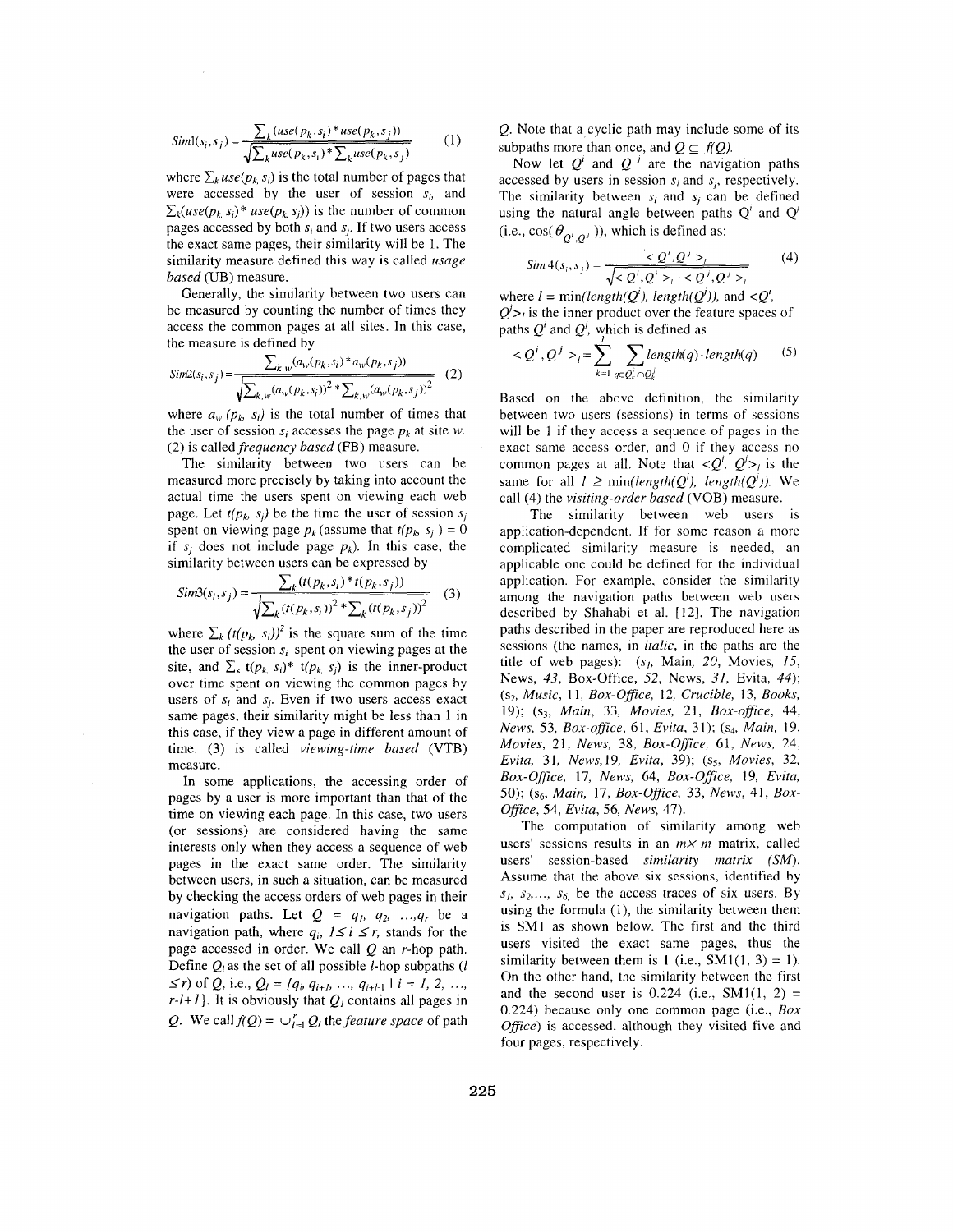$$
Siml(s_i, s_j) = \frac{\sum_{k} (use(p_k, s_i)^* use(p_k, s_j))}{\sqrt{\sum_{k} use(p_k, s_i)^* \sum_{k} use(p_k, s_j)}}
$$
(1)

where  $\sum_k use(p_k, s_i)$  is the total number of pages that were accessed by the user of session  $s<sub>i</sub>$ , and  $\sum_k (use(p_k, s_i))^*$  *use*( $p_k, s_i$ )) is the number of common pages accessed by both  $s_i$  and  $s_j$ . If two users access the exact same pages, their similarity will be 1. The similarity measure defined this way is called *usage* based (UB) measure.

Generally, the similarity between two users can be measured by counting the number of times they access the common pages at all sites. In this case, the measure is defined by

$$
Sim2(s_i, s_j) = \frac{\sum_{k,w} (a_w(p_k, s_i)^* a_w(p_k, s_j))}{\sqrt{\sum_{k,w} (a_w(p_k, s_i))^2 * \sum_{k,w} (a_w(p_k, s_j))^2}}
$$
(2)

where  $a_w$  ( $p_k$ ,  $s_i$ ) is the total number of times that the user of session  $s_i$  accesses the page  $p_k$  at site *w*. (2) is called *frequency based* (FB) measure.

The similarity between two users can be measured more precisely by taking into account the actual time the users spent on viewing each web page. Let  $t(p_k, s_i)$  be the time the user of session  $s_i$ spent on viewing page  $p_k$  (assume that  $t(p_k, s_i) = 0$ if  $s_i$  does not include page  $p_k$ ). In this case, the similarity between users can be expressed by

$$
Sim3(s_i, s_j) = \frac{\sum_{k} (t(p_k, s_i) * t(p_k, s_j))}{\sqrt{\sum_{k} (t(p_k, s_i))^2 * \sum_{k} (t(p_k, s_j))^2}}
$$
(3)

where  $\sum_{k} (t(p_k, s_i))^2$  is the square sum of the time the user of session  $s_i$  spent on viewing pages at the site, and  $\sum_{k} t(p_{k_i}, s_i)^* t(p_{k_i}, s_j)$  is the inner-product over time spent on viewing the common pages by users of  $s_i$  and  $s_j$ . Even if two users access exact same pages, their similarity might be less than 1 in this case, if they view a page in different amount of time. (3) is called viewing-time based (VTB) measure.

In some applications, the accessing order of pages by a user is more important than that of the time on viewing each page. In this case, two users (or sessions) are considered having the same interests only when they access a sequence of web pages in the exact same order. The similarity between users, in such a situation, can be measured by checking the access orders of web pages in their navigation paths. Let  $Q = q_1, q_2, ..., q_r$  be a navigation path, where  $q_i$ ,  $1 \le i \le r$ , stands for the page accessed in order. We call  $Q$  an r-hop path. Define  $Q_i$  as the set of all possible *l*-hop subpaths (*l*  $\leq r$ ) of Q, i.e.,  $Q_l = \{q_i, q_{i+l}, ..., q_{i+l-1} \mid i = 1, 2, ..., \}$  $r-l+1$ }. It is obviously that  $Q_l$  contains all pages in Q. We call  $f(Q) = \bigcup_{l=1}^r Q_l$  the *feature space* of path

Q. Note that a cyclic path may include some of its subpaths more than once, and  $Q \subseteq f(Q)$ .

Now let  $Q'$  and  $Q'$  are the navigation paths accessed by users in session *si* and *si,* respectively. The similarity between  $s_i$  and  $s_j$  can be defined using the natural angle between paths *Q'* and *Q'*  (i.e.,  $\cos(\theta_{\alpha^i,\alpha^j})$ ), which is defined as:

$$
Sim4(s_i, s_j) = \frac{Q', Q' > i}{\sqrt{Q', Q' > i \cdot Q', Q' > i}} \tag{4}
$$

where  $l = min(length(O<sup>i</sup>), length(O<sup>j</sup>))$ , and  $\langle O<sup>i</sup>$ ,  $Q'_{\geq t}$  is the inner product over the feature spaces of paths  $Q^i$  and  $Q^j$ , which is defined as

$$
\langle Q^i, Q^j \rangle_t = \sum_{k=1}^l \sum_{q \in Q_k^i \cap Q_k^j} length(q) \cdot length(q) \qquad (5)
$$

Based on the above definition, the similarity between two users (sessions) in terms of sessions will be 1 if they access a sequence of pages in the exact same access order, and 0 if they access no common pages at all. Note that  $\langle Q, Q' \rangle$  is the same for all  $l \geq min(length(Q^{i}), length(Q^{j}))$ . We call (4) the visiting-order based (VOB) measure.

The similarity between web users is application-dependent. If for some reason a more complicated similarity measure is needed, an applicable one could be defined for the individual application. For example, consider the similarity among the navigation paths between web users described by Shahabi et al. [12]. The navigation paths described in the paper are reproduced here as sessions (the names, in *italic*, in the paths are the title of web pages):  $(s<sub>l</sub>, Main, 20, Movies, 15,$ News, 43, Box-Office, 52, News, 31, Evita, *44);*   $(s_2, Music, 11, Box-Office, 12, Crucible, 13, Books,$ 19); **(s3,** Main, 33, Movies, 21, Box-ofice, 44, News, 53, Box-office, 61, Evita, 31);  $(s_4, Main, 19,$ Movies, 21, News, 38, Box-Office, 61, News, 24, Evita, 31, News, 19, Evita, 39); (s<sub>5</sub>, Movies, 32, Box-Ofice, 17, News, 64, Box-Office, 19, Evita, 50); (s<sub>6</sub>, Main, 17, Box-Office, 33, News, 41, Box-Office, 54, Evita, 56, News, 47).

The computation of similarity among web users' sessions results in an  $m \times m$  matrix, called users' session-based similarity matrix *(SM).*  Assume that the above six sessions, identified by  $s_1$ ,  $s_2$ ,...,  $s_6$  be the access traces of six users. By using the formula  $(1)$ , the similarity between them is SMl as shown below. The first and the third users visited the exact same pages, thus the similarity between them is  $1$  (i.e., SM1(1, 3) = 1). On the other hand, the similarity between the first and the second user is  $0.224$  (i.e., SM1(1, 2) = 0.224) because only one common page (i.e., *Box*  Office) is accessed, although they visited five and four pages, respectively.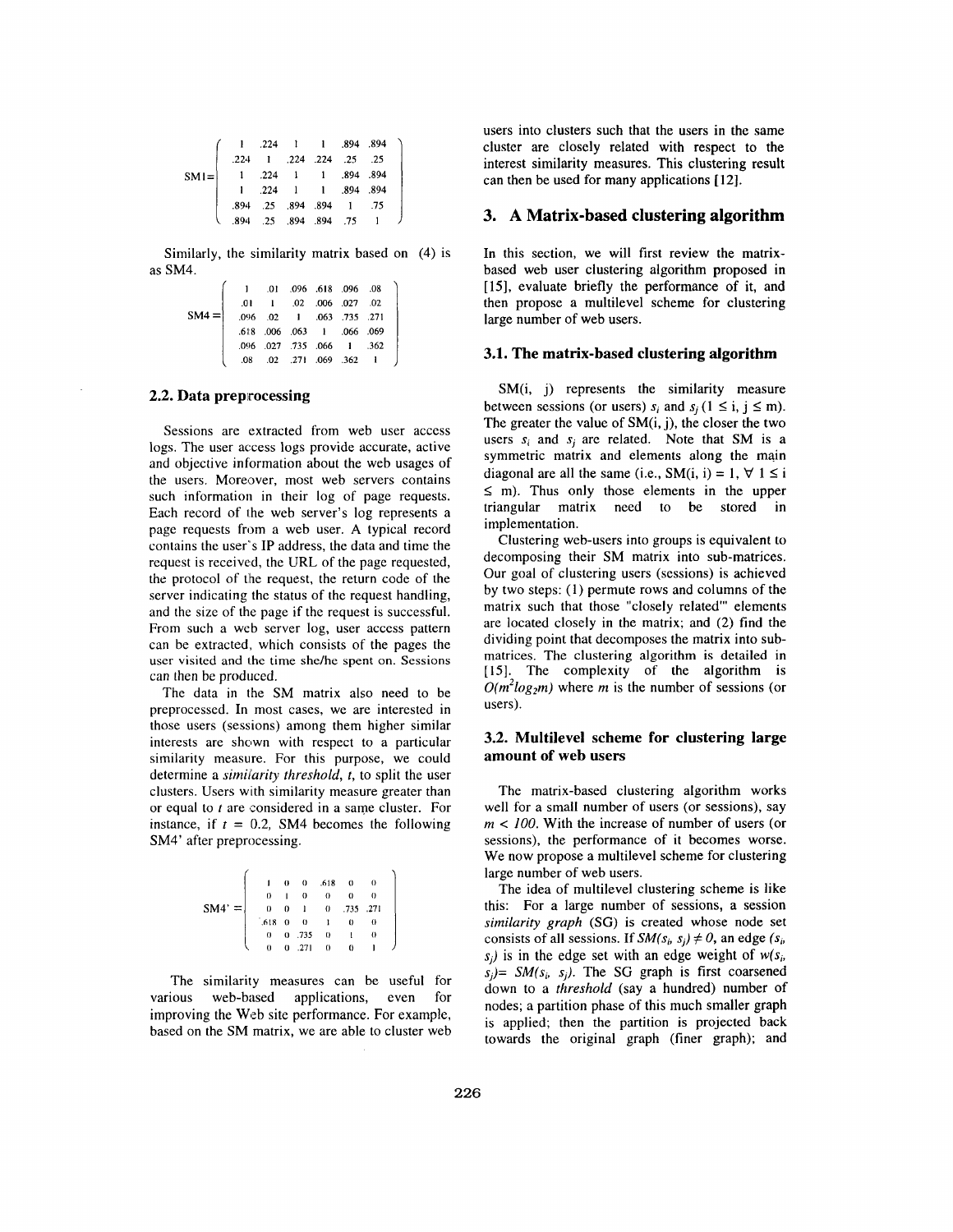|                                                                                                                                                                                            | $\begin{pmatrix} 1 & .224 & 1 & 1 & .894 & .894 \\ .224 & 1 & .224 & .224 & .25 & .25 \end{pmatrix}$ |  |  |  |
|--------------------------------------------------------------------------------------------------------------------------------------------------------------------------------------------|------------------------------------------------------------------------------------------------------|--|--|--|
|                                                                                                                                                                                            |                                                                                                      |  |  |  |
| $\textbf{SM1}=\left[\begin{array}{cccccc} 1 & 224 & 1 & 1 & 894 & 894 \\ 1 & 224 & 1 & 1 & 894 & 894 \\ 894 & 25 & 894 & 894 & 1 & 75 \\ 894 & 25 & 894 & 894 & 75 & 1 \end{array}\right]$ |                                                                                                      |  |  |  |
|                                                                                                                                                                                            |                                                                                                      |  |  |  |
|                                                                                                                                                                                            |                                                                                                      |  |  |  |

Similarly, the similarity matrix based on (4) is as SM4.

|         |      |  | 08. 096. 186. 096. 10.     |  |
|---------|------|--|----------------------------|--|
|         | .01  |  | 1 .02 .006 .027 .02        |  |
| $SM4 =$ |      |  | .096 .02 1 .063 .735 .271  |  |
|         | .618 |  | 066 066 1 066 069          |  |
|         |      |  | .096 .027 .735 .066 1 .362 |  |
|         | .08  |  | .02 .271 .069 .362 1       |  |
|         |      |  |                            |  |

### **2.2. Data preprocessing**

Sessions are extracted from web user access logs. The user access logs provide accurate, active and objective information about the web usages of the users. Moreover, most web servers contains such information in their log of page requests. Each record of the web server's log represents a page requests from a web user. **A** typical record contains the user"s **IP** address, the data and time the request is received, the URL of the page requested, the protocol of the request, the return code of the server indicating the status of the request handling, and the size of the page if the request is successful. From such a web server log, user access pattern can be extracted, which consists of the pages the user visited and the time she/he spent on. Sessions can then be produced.

The data in the SM matrix also need to be preprocessed. In most cases, we are interested in those users (sessions) among them higher similar interests are shown with respect to a particular similarity measure. For this purpose, we could determine a *similarity threshold*, *t*, to split the user clusters. Users with similarity measure greater than or equal to *t* are considered in a same cluster. For instance, if  $t = 0.2$ , SM4 becomes the following SM4' after preprocessing.

|          |                        | $\theta$     |             | $0.618$ 0       |            | $\theta$ |  |
|----------|------------------------|--------------|-------------|-----------------|------------|----------|--|
|          | $\theta$               | $\mathbf{I}$ | $\theta$    | $\Omega$        | $\theta$   | $\Omega$ |  |
| $SM4' =$ | $\theta$               | $\theta$     |             | 1 0 .735 .271   |            |          |  |
|          | $.618 \quad 0 \quad 0$ |              |             | $\frac{1}{1}$ 0 |            | $\theta$ |  |
|          | $\Omega$               |              | $0.735 = 0$ |                 | $\sim 1$ . | -0       |  |
|          |                        |              | 0.271       | $\sqrt{ }$      | $\sim$ 0   |          |  |

The similarity measures can be useful for various web-based applications, even for improving the Web site performance. For example, based on the SM matrix, we are able to cluster web users into clusters such that the users in the same cluster are closely related with respect to the interest similarity measures. This clustering result can then be used for many applications **[12].** 

## **3. A Matrix-based clustering algorithm**

In this section, we will first review the matrixbased web user clustering algorithm proposed in [15], evaluate briefly the performance of it, and then propose a multilevel scheme for clustering large number of web users.

#### **3.1. The matrix-based clustering algorithm**

SM(i, j) represents the similarity measure between sessions (or users)  $s_i$  and  $s_i$  (1  $\leq$  i, j  $\leq$  m). The greater the value of  $SM(i, j)$ , the closer the two users  $s_i$  and  $s_i$  are related. Note that SM is a symmetric matrix and elements along the main diagonal are all the same (i.e., SM(i, i) = 1,  $\forall$  1  $\leq$  i  $\leq$  m). Thus only those elements in the upper triangular matrix need to be stored in implementation.

Clustering web-users into groups is equivalent to decomposing their SM matrix into sub-matrices. Our goal of clustering users (sessions) is achieved by two steps: **(1)** permute rows and columns of the matrix such that those "closely related"' elements are located closely in the matrix; and (2) find the dividing point that decomposes the matrix into submatrices. The clustering algorithm is detailed in **[15].** The complexity of the algorithm is  $O(m^2 \log_2 m)$  where *m* is the number of sessions (or users).

### **3.2. Multilevel scheme for clustering large amount of web users**

The matrix-based clustering algorithm works well for a small number of users (or sessions), say *m* < 100. With the increase of number of users (or sessions), the performance of it becomes worse. We now propose a multilevel scheme for clustering large number of web users.

The idea of multilevel clustering scheme is like this: For a large number of sessions, a session *similarity graph (SG)* is created whose node set consists of all sessions. If  $SM(s_i, s_j) \neq 0$ , an edge  $(s_i, s_j)$  $s_i$ ) is in the edge set with an edge weight of  $w(s_i)$  $s_i$ )= *SM(s<sub>i</sub>, s<sub>i</sub>)*. The *SG* graph is first coarsened down to a *threshold* (say a hundred) number of nodes; a partition phase of this much smaller graph is applied; then the partition is projected back towards the original graph (finer graph); and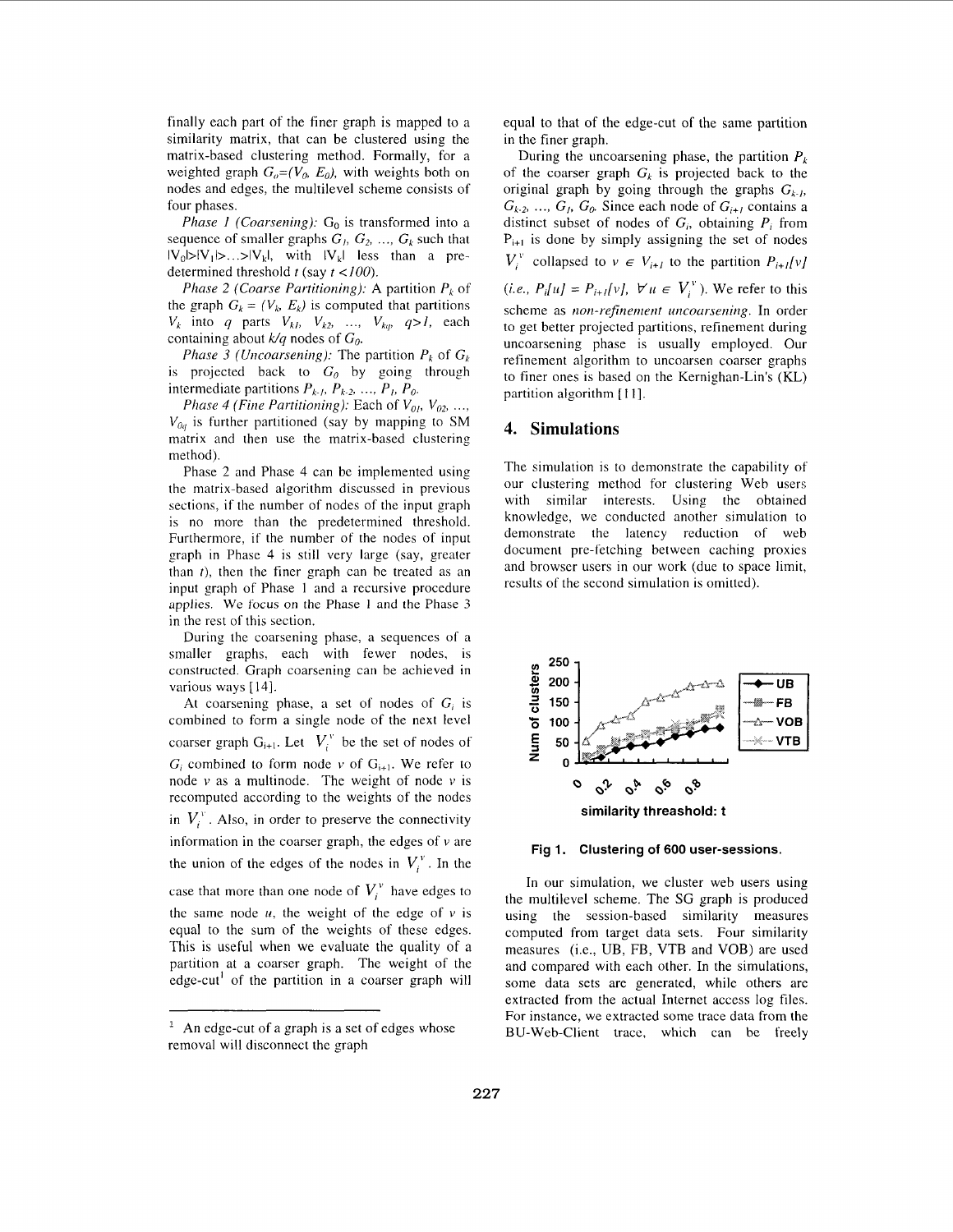<span id="page-5-0"></span>finally each part of the finer graph is mapped to a similarity matrix, that can be clustered using the matrix-based clustering method. Formally, for a weighted graph  $G<sub>o</sub>=(V<sub>o</sub>, E<sub>o</sub>)$ , with weights both on nodes and edges, the multilevel scheme consists of four phases.

*Phase 1 (Coarsening):*  $G_0$  is transformed into a sequence of smaller graphs  $G_1$ ,  $G_2$ , ...,  $G_k$  such that  $|V_0|>|V_1|>...>|V_k|$ , with  $|V_k|$  less than a predetermined threshold  $t$  (say  $t < 100$ ).

*Phase 2 (Coarse Partitioning):* A partition *Pk* of the graph  $G_k = (V_k, E_k)$  is computed that partitions  $V_k$  into *q* parts  $V_{k1}$ ,  $V_{k2}$ , ...,  $V_{kq}$ ,  $q>l$ , each containing about  $k/q$  nodes of  $G_0$ .

*Phase 3 (Uncoarsening):* The partition  $P_k$  of  $G_k$ is projected back to  $G_0$  by going through intermediate partitions  $P_{k-1}$ ,  $P_{k-2}$ , ...,  $P_1$ ,  $P_0$ .

*Phase 4 (Fine Partitioning):* Each of  $V_{01}$ ,  $V_{02}$ , ...,  $V_{0a}$  is further partitioned (say by mapping to SM matrix and then use the matrix-based clustering method).

Phase 2 and Phase 4 can be implemented using the matrix-based algorithm discussed in previous sections, if the number of nodes of the input graph is no more than thc predetermined threshold. Furthermore, if the number of the nodes of input graph in Phase 4 is still very large (say, greater than *t),* then the finer graph can be treated as an input graph of Phase 1 and a recursive procedure applies. We focus on thc Phase 1 and the Phase 3 in the rest of this section.

During the coarsening phase, a sequences of a smaller graphs, each with fewer nodes, is constructed. Graph coarsening can be achieved in various ways [14].

At coarsening phase, a set of nodes of  $G_i$  is combined to form a single node of the next level coarser graph  $G_{i+1}$ . Let  $V_i^v$  be the set of nodes of  $G_i$  combined to form node *v* of  $G_{i+1}$ . We refer to node  $v$  as a multinode. The weight of node  $v$  is recomputed according to the weights of the nodes in  $V_i^{\nu}$ . Also, in order to preserve the connectivity information in the coarser graph, the edges of  $\nu$  are the union of the edges of the nodes in  $V_i^v$ . In the case that more than one node of  $V_i^v$  have edges to the same node  $u$ , the weight of the edge of  $v$  is equal to the sum of the weights of these edges. This is useful when we evaluate the quality of a partition at a coarser graph. The weight of the edge-cut<sup>1</sup> of the partition in a coarser graph will

equal to that of the edge-cut of the same partition in the finer graph.

During the uncoarsening phase, the partition  $P_k$ of the coarser graph  $G_k$  is projected back to the original graph by going through the graphs  $G_{k-h}$ ,  $G_{k-2}, \ldots, G_1, G_0$ . Since each node of  $G_{i+1}$  contains a distinct subset of nodes of G;, obtaining *P,* from  $P_{i+1}$  is done by simply assigning the set of nodes  $V_i^{\nu}$  collapsed to  $\nu \in V_{i+1}$  to the partition  $P_{i+1}[\nu]$ (*i.e., P<sub>i</sub>[u] = P<sub><i>i+l[v]*,  $\forall u \in V_i^v$ ). We refer to this</sub> scheme as *non-refinement uncoarsening*. In order to get better projected partitions, refinement during uncoarsening phase is usually employed. Our refinement algorithm to uncoarsen coarser graphs to finer ones is based on the Kernighan-Lin's (KL) partition algorithm [I I].

# **4. Simulations**

The simulation is to demonstrate the capability of our clustering method for clustering Web users with similar interests. Using the obtained knowledge, we conducted another simulation to demonstrate the latency reduction of web document pre-fetching between caching proxies and browser users in our work (due to space limit, results of the second simulation is omitted).



**Fig 1. Clustering of 600 user-sessions.** 

In our simulation, we cluster web users using the multilevel scheme. The SG graph is produced using the session-based similarity measures computed from target data sets. Four similarity measures (i.e., UB, FB, VTB and VOB) are used and compared with each other. In the simulations, some data sets are generated, while others are extracted from the actual Internet access log files. For instance, we extracted some trace data from the BU-Web-Client tracc, which can be freely

 $<sup>1</sup>$  An edge-cut of a graph is a set of edges whose</sup> removal will disconnect thc graph